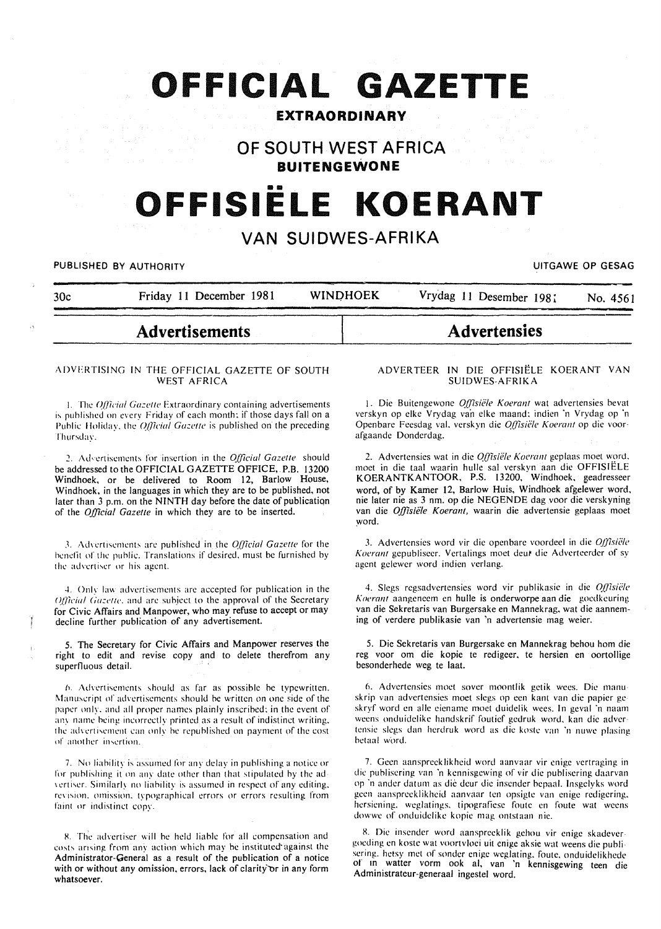# **OFFICIAL GAZETTE**

# **EXTRAORDINARY**

# **OF SOUTH WEST AFRICA BUITENGEWONE**

# •• **OFFISIELE KOERANT**

# **VAN SUIDWES-AFRIKA**

PUBLISHED BY AUTHORITY **EXAGGE OP GESAGGE OP GESAGGE OP GESAGGE OP GESAGGE OP GESAGGE OP GESAGGE OP GESAGGE OP GESAG** 

| <b>Advertensies</b><br><b>Advertisements</b>                                 |          |
|------------------------------------------------------------------------------|----------|
| <b>WINDHOEK</b><br>Vrydag 11 Desember 1981<br>Friday 11 December 1981<br>30c | No. 4561 |

#### ADVERTISING IN THE OFFICIAL GAZETTE OF SOUTH WEST AFRICA

1. The *Official Gazette* Extraordinary containing advertisements is published on every Friday of each month: if those days fall on a Public Holiday, the *Official Gazette* is published on the preceding Thursday.

~- Ad•crtiscmcnl\ for insertion in the *Official Gazelle* should be addressed to the OFFICIAL GAZETTE OFFICE, P.B. 13200 Windhoek, or be delivered to Room 12, Barlow House, Windhoek, in the languages in which they are to be published, not later than 3 p.m. on the NINTH day before the date of publication of the *Official Gazelle* in which they are to be inserted.

3. Advertisements are published in the *Official Gazette* for the benefit of the public. Translations if desired. must be furnished by the advertiser or his agent.

-l. Only law advertisements arc accepted for publication in the *Official Gazette*, and are subject to the approval of the Secretary for Civic Affairs and Manpower, who may refuse to accept or may decline further publication of any advertisement.

5. The Secretary for Civic Affairs and Manpower reserves the right to edit and revise copy and to delete therefrom any superfluous detail.

*h.* Advertisements should as far as possible be typewritten. Manuscript of advertisements should be written on one side of the paper only, and all proper names plainly inscribed; in the event of any name being incorrectly printed as a result of indistinct writing. the advertisement can only be republished on payment of the cost of another insertion.

7. No liability is assumed for any delay in publishing a notice or for puhlishing it on any date other than that stipulated hy the ad vertiser. Similarly no liability is assumed in respect of any editing, revision, omission, typographical errors or errors resulting from faint or indistinct copy.

8. The advertiser will be held liable for all compensation and costs arising from any action which may be instituted against the Administrator-General as a result of the publication of a notice with or without any omission, errors, lack of clarity' or in any form whatsoever.

#### ADVERTEER IN DIE OFFISIELE KOERANT VAN SUIDWES-AFRIKA

1. Die Buitengewone *Offisiële Koerant* wat advertensies bevat verskyn op elke Vrydag van elke maand: indien 'n Vrydag op 'n Openbare Feesdag val. verskyn die *Q{{isiete Koerant* op die voorafgaande Donderdag.

2. Advertensies wat in die *Offisiële Koerant* geplaas moet word. moet in die taal waarin hulle sal verskvn aan die OFFISIELE KOERANTKANTOOR, P.S. 13200, Windhoek, geadresseer word, of by Kamer 12, Barlow Huis, Windhoek afgelewer word, nie later nie as 3 nm. op die NEGENDE dag voor die verskyning van die *Offisiele Koerant,* waarin die advertensie geplaas moet word.

3. Advertensies word vir die openbare voordeel in die *Offisiële* Koerant gepubliseer. Vertalings moet deur die Adverteerder of sy agent gelewer word indien verlang.

4. Slegs regsadvertensies word vir publikasie in die *Offisiële Koeranl* aangeneem en hulle is onderworpe aan die gocdkcuring van die Sekretaris van Burgersake en Mannekrag, wat die aanneming of verdere publikasie van 'n advertensie mag weier.

5. Die Sekretaris van Burgersake en Mannekrag behou hom die reg voor om die kopie te redigeer, te hersien en oortollige besonderhede weg te laat.

6. Advertensies moet sover moontlik getik wees. Die manu skrip van advertensies moet slcgs op een kant van die papier ge skryf word en aile eiename moet duidelik wces. In geval 'n naam weens onduidclike handskrif foutief gedruk word. kan die adver· tensic slegs dan hcrdruk word as die kostc van 'n nuwe plasing hetaal word.

7. Geen aanspreeklikheid word aanvaar vir cnige vertraging in die puhlisering van 'n kennisgewing of vir die puhlisering daarvan or 'n antler datum as die deur die insender hcpaal. Insgclyks word gcen aanspreeklikheid aanvaar ten opsigtc van cnige redigering. hcrsicning. weglatings. tipografiesc foute en foute wat weens dowwe of onduidelike kopie mag ontstaan nie.

8. Die insender word aanspreeklik gehou vir enige skadevergocding en koste wat voortvloci uit cnigc aksie wat weens die puhli· sering. hetsy met of sonder enige weglating, foute, onduidelikhede or m watter vorm ook al, van 'n kennisgewing teen die Administratcur-generaal ingestel word.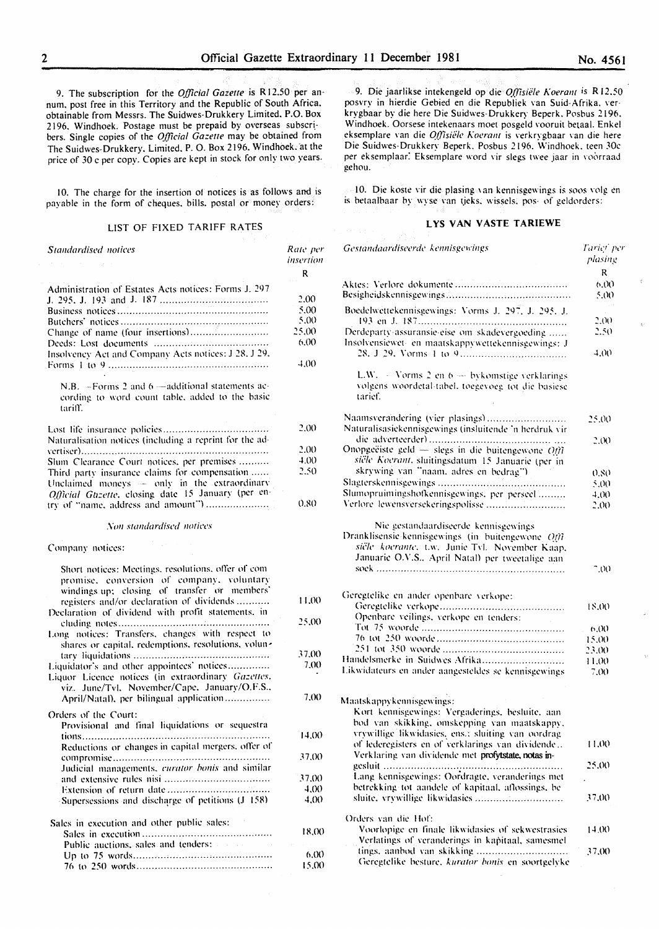9. The subscription for the *Official Gazette* is **R** 12.50 per an· num. post free in this Territory and the Republic of South Africa. obtainable from Messrs. The Suidwes-Drukkery Limited. P.O. Box 2196. Windhoek. Postage must be prepaid by overseas subscribers. Single copies of the *Official Gazette* may be obtained from The Suidwes-Drukkery. Limited. P. 0. Box 2196. Windhoek:at the price of 30 c per copy. Copies are kept in stock for only two years.

10. The charge for the insertion of notices is as follows and is payable in the form of cheques. bills. postal or money orders:

#### LIST OF FIXED TARIFF RATES

| <i>Standardised notices</i>                                                                                                                                                                                                                        | Rate per<br>insertion |
|----------------------------------------------------------------------------------------------------------------------------------------------------------------------------------------------------------------------------------------------------|-----------------------|
|                                                                                                                                                                                                                                                    | R                     |
| Administration of Estates Acts notices: Forms J. 297                                                                                                                                                                                               |                       |
|                                                                                                                                                                                                                                                    | 2.00                  |
|                                                                                                                                                                                                                                                    | 5.00                  |
|                                                                                                                                                                                                                                                    | 5.00                  |
| Change of name (four insertions)                                                                                                                                                                                                                   | 25,00                 |
|                                                                                                                                                                                                                                                    | 6,00                  |
| Insolvency Act and Company Acts notices: J 28, J 29,                                                                                                                                                                                               | 4.00                  |
| N.B. -- Forms 2 and 6 --- additional statements ac-<br>cording to word count table, added to the basic<br>tariff.                                                                                                                                  |                       |
|                                                                                                                                                                                                                                                    | 2,00                  |
| Naturalisation notices (including a reprint for the ad-                                                                                                                                                                                            |                       |
|                                                                                                                                                                                                                                                    | 2.00                  |
| Slum Clearance Court notices, per premises                                                                                                                                                                                                         | 4.00                  |
| Third party insurance claims for compensation                                                                                                                                                                                                      | 2.50                  |
| Unclaimed moneys - only in the extraordinary                                                                                                                                                                                                       |                       |
| Official Guzette, closing date 15 January (per en-                                                                                                                                                                                                 |                       |
| try of "name, address and amount")                                                                                                                                                                                                                 | 0.80                  |
| Non standardised notices                                                                                                                                                                                                                           |                       |
| Company notices:                                                                                                                                                                                                                                   |                       |
| Short notices: Meetings, resolutions, offer of com<br>promise, conversion of company, voluntary<br>windings up: closing of transfer or members'<br>registers and/or declaration of dividends<br>Declaration of dividend with profit statements, in | 11.00                 |
| Long notices: Transfers, changes with respect to                                                                                                                                                                                                   | 25.00                 |
| shares or capital, redemptions, resolutions, volun-                                                                                                                                                                                                |                       |
|                                                                                                                                                                                                                                                    | 37.00                 |
| Liquidator's and other appointees' notices<br>Liquor Licence notices (in extraordinary Gazettes,<br>viz. June/Tvl. November/Cape. January/O.F.S.,                                                                                                  | 7.00                  |
| April/Natal), per bilingual application                                                                                                                                                                                                            | 7,00                  |
| Orders of the Court:                                                                                                                                                                                                                               |                       |
| Provisional and final liquidations or sequestra                                                                                                                                                                                                    |                       |
| Reductions or changes in capital mergers, offer of                                                                                                                                                                                                 | 14,00                 |
|                                                                                                                                                                                                                                                    | 37.OO                 |
| Judicial managements, curator bonis and similar                                                                                                                                                                                                    |                       |
|                                                                                                                                                                                                                                                    | 37,00                 |
|                                                                                                                                                                                                                                                    | 4.00.                 |
| Supersessions and discharge of petitions (J 158)                                                                                                                                                                                                   | 4(0)                  |
| Sales in execution and other public sales:                                                                                                                                                                                                         |                       |
|                                                                                                                                                                                                                                                    | 18,00                 |
| Public auctions, sales and tenders:                                                                                                                                                                                                                |                       |
|                                                                                                                                                                                                                                                    | 6,00                  |
|                                                                                                                                                                                                                                                    | 15,00                 |

9. Die jaarlikse intekengeld op die *O.f]isiele K oerant* is **R** 12.50 posvry in hierdie Gebied en die Republiek van Suid-Afrika. verkrygbaar by die here Die Suidwes- Drukkery Beperk. Posbus 2196. Windhoek. Oorsese intekenaars moet posgeld vooruit belaal. Enkel eksemplare van die *Offisiële Koerant* is verkrygbaar van die here Die Suidwes-Drukkery Beperk. Posbus 2196. \\'indhoek. teen JOe per eksemplaar. Eksemplare word vir slegs twee jaar in voorraad gehou.

10. Die koste vir die plasing \an kennisgewings is soos \·olg en is betaalbaar by wyse van tjeks. wissels. pos- of geldorders:

# **LYS VAN VASTE TARIEWE**

| Gestandaardiseerde kennisgewings                                                                                                                                                  | Tarici per<br>plasing<br>R |
|-----------------------------------------------------------------------------------------------------------------------------------------------------------------------------------|----------------------------|
|                                                                                                                                                                                   | 6.00<br>5.00               |
| Boedelwettekennisgewings: Vorms J. 297, J. 295, J.                                                                                                                                |                            |
|                                                                                                                                                                                   | 2(0)                       |
| Derdeparty-assuransie-eise om skadevergoeding<br>Insolvensiewet- en maatskappywettekennisgewings: J                                                                               | 2.50                       |
|                                                                                                                                                                                   | 4.OO                       |
| L.W. $-$ Vorms 2 en 6 $-$ bykomstige verklarings<br>volgens woordetal-tabel, toegevoeg tot die basiese<br>tarief.                                                                 |                            |
| Naamsverandering (vier plasings)                                                                                                                                                  | 25.00                      |
| Naturalisasiekennisgewings (insluitende 'n herdruk vir                                                                                                                            |                            |
| Onopgeëiste geld - slegs in die buitengewone $Q/\hbar$<br>siële Koerant, sluitingsdatum 15 Januarie (per in                                                                       | 2.00                       |
| skrywing van "naam, adres en bedrag")                                                                                                                                             | 0.80                       |
| Slumopruimingshofkennisgewings, per perseel                                                                                                                                       | 5.00<br>4.OO               |
| Verlore lewensversekeringspolisse                                                                                                                                                 | 2.00                       |
| siële koerante, t.w. Junie Tvl. November Kaap,<br>Januarie O.V.S., April Natal) per tweetalige aan                                                                                | 7 (K)                      |
| Geregtelike en ander openbare verkope:                                                                                                                                            |                            |
| Openbare veilings, verkope en tenders:                                                                                                                                            | 18.00                      |
|                                                                                                                                                                                   | h(x)                       |
|                                                                                                                                                                                   | 15.00                      |
|                                                                                                                                                                                   | 23.00                      |
| Handelsmerke in Suidwes Afrika                                                                                                                                                    | 11.00                      |
| Likwidateurs en ander aangesteldes se kennisgewings                                                                                                                               | 7.00                       |
| Maatskappykennisgewings:<br>Kort kennisgewings: Vergåderings, besluite, aan<br>bod van skikking, omskepping van maatskappy,<br>vrywillige likwidasies, ens.; sluiting van oordrag |                            |
| of lederegisters en of verklarings van dividende<br>Verklaring van dividende met profytstate, notas in-                                                                           | 11.00                      |
|                                                                                                                                                                                   | 25.00                      |
| Lang kennisgewings: Oordragte, veranderings met                                                                                                                                   |                            |
| betrekking tot aandele of kapitaal, aflossings, be                                                                                                                                | 37.00                      |
| Orders van die Hof:                                                                                                                                                               |                            |
| Voorlopige en finale likwidasies of sekwestrasies<br>Verlatings of veranderings in kapitaal, samesmel                                                                             | 14.00                      |
| tings, aanbod van skikking<br>Geregtelike besture, kurator bonis en soortgelyke                                                                                                   | 37.OO                      |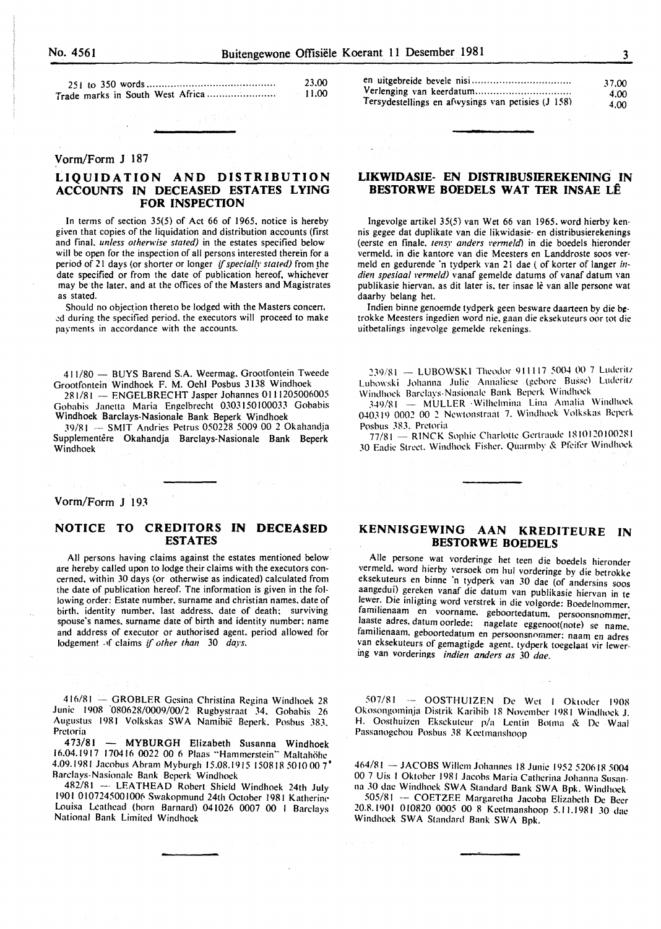| 23.00    |
|----------|
| $-11.00$ |

#### Vorm/Form J 187

# **LIQUIDATION AND DISTRIBUTION ACCOUNTS IN DECEASED ESTATES LYING FOR INSPECTION**

In terms of section 35(5) of Act 66 of 1965. notice is hereby given that copies of the liquidation and distribution accounts (first and final. *unless otherwise stated)* in the estates specified below will be open for the inspection of all persons interested therein for a period of 21 days (or shorter or longer *if specially stated)* from the date specified or from the date of publication hereof. whichever may be the later. and at the offices of the Masters and Magistrates as stated.

Should no objection thereto be lodged with the Masters concerr. .:d during the specified period. the executors will proceed to make payments in accordance with the accounts.

411/80 - BUYS Barend S.A. Weermag. Grootfontein Tweede Grootfontein Windhoek F. M. Oehl Posbus 3!38 Windhoek

281/81 - ENGELBRECHT Jasper Johannes 0111205006005 Gobabis Janctta Maria Engelbrecht 0303150100033 Gobabis Windhoek Barclays-Nasionale Bank Beperk Windhoek

39/81 - SMIT Andries Petrus 050228 5009 00 2 Okahandja Supplementêre Okahandja Barclays-Nasionale Bank Beperk Windhoek

Vorm/Form J 193

## **NOTICE TO CREDITORS IN DECEASED ESTATES**

All persons having claims against the estates mentioned below are hereby called upon to lodge their claims with the executors concerned. within 30 days (or otherwise as indicated) calculated from the date of publication hereof. The information is given in the following order: Estate number. surname and christian names. date of birth. identity number. last address. date of death; surviving spouse's names. surname date of birth and identity number; name and address of executor or authorised agent. period allowed for lodgement of claims if other than 30 days.

416/81 -- GROBLER Gesina Christina Regina Windhoek 28 Junie 1908 '080628/0009/00/2 Rugbystraat 34. Gobabis 26 Augustus 1981 Volkskas SWA Namibic Beperk. Posbus 383. Pretoria

473/81 - MYBURGH Elizabeth Susanna Windhoek 16.04.1917 170416 0022 00 6 Plaas "Hammerstein" Maltahohe 4.09.1981 Jacobus Abram Myburgh 15.08.1915 150818 5010 00 7<sup>\*</sup> Rarclays-Nasionale Bank Beperk Windhoek

482/81 -- LEATHEAD Robert Shield Windhoek 24th July 1901 0107245001006 Swakopmund 24th October 1981 Katherine Louisa Lcathead (born Barnard) 041026 0007 00 I Barclays National Bank Limited Windhoek

|                                                    | 37.00 |
|----------------------------------------------------|-------|
|                                                    | 4.00  |
| Tersydestellings en afwysings van petisies (J 158) | 4.00  |

## **LIKWIDASIE- EN DISTRIBUSIEREKENING IN BESTORWE BOEDELS WAT TER INSAE LÊ**

lngevolge artikel 35(5) van Wet 66 van 1965. word hierby kennis gegee dat duplikate van die likwidasie- en distribusierekenings (eerste en finale. tensy anders vermeld) in die boedels hieronder vermeld. in die kantore van die Meesters en Landdroste soos vermeld en gedurende 'n tydperk van 21 dae ( of korter of Ianger *in*dien spesiaal vermeld) vanaf gemelde datums of vanaf datum van publikasie hiervan. as dit later is, ter insae lê van alle persone wat daarby belang het.

Indien binne genoemde tydperk geen besware daarteen by die betrokke Meesters ingedien word nie. gaan die eksekuteurs oor tot die uitbetalings ingevolge gemelde rekenings.

239/81 -- LUBOWSKI Theodor 911117 5004 00 7 Luderitz Lubowski Johanna Julie Annaliese (gebore Busse) Luderitz Windhoek Barelays-Nasionale Bank Beperk Windlwek

349/81 -- MULLER Wilhelmina Lina Amalia Windhoek 040319 0002 00 2 Newtonstraat 7. Windhoek Volkskas Beperk Posbus 383. Pretoria

77/81 - RINCK Sophie Charlotte Gertraude 1810120100281 30 Eadie Street. Windhoek Fisher. Quarmhy & Pfeifer Windhoek

# **KENNISGEWING AAN KREDITEURE IN BESTORWE BOEDELS**

Aile persone wat vorderinge het teen die boedels hieronder vermeld. word hierby versoek om hul vorderinge by die betrokke eksekuteurs en binne 'n tydperk van 30 dae (of andersins soos aangedui) gereken vanaf die datum van publikasie hiervan in te lewer. Die inligting word verstrek in die volgorde: Boedelnommer. familienaam en voorname. geboortedatum. persoonsnommer. laaste adres. datum oorlede; nagelate eggenoot(note) se name. familienaam. geboortedatum en persoonsnommer; naam en adres van eksekuteurs of gemagtigde agent. tydperk toegelaat vir lewering van vorderings *indien anders as* 30 *dae.* 

507/81 -- OOSTHUIZEN De Wet 1 Oktoder 1908 Okosongominja Distrik Karihib 18 November 1981 Windhoek J. H. Oosthuizcn Eksekuteur p/a Lentin Botma & De Waal Passanogebou Posbus 38 Keetmanshoop

464/81 - JACOBS Willem Johannes 18 Junie 1952 520618 5004 00 7 Uis I Oktober 1981 Jacobs Maria Catherina Johanna Susanna .10 dac Windhoek SWA Standard Bank SWA Bpk. Windhoek

.50.5/R I -- COETZEE Margarctha Jacoba Elizabeth De Beer 20.8.1901 010820 0005 00 8 Keetmanshoop 5.11.1981 30 dae Windhoek SWA Standard Bank SWA Bpk.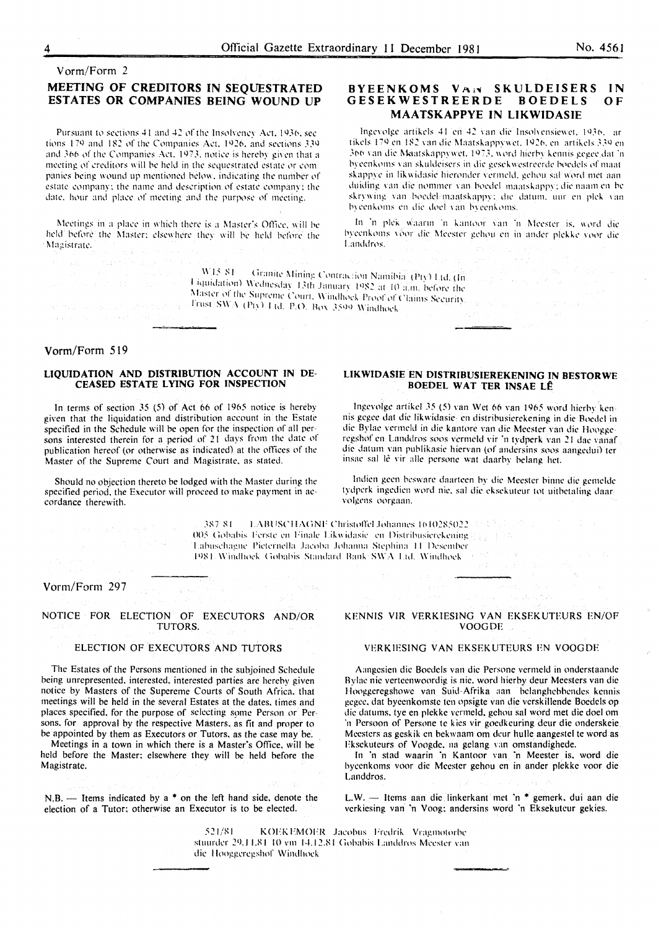#### Vorm/Form 2

# MEETING OF CREDITORS IN SEQUESTRATED ESTATES OR COMPANIES BEING WOUND UP

Pursuant to sections 41 and 42 of the Insolveney Act, 1936, sec tions 179 and 182 of the Companies Act, 1926, and sections 339 and 366 of the Companies Act, 1973, notice is hereby given that a meeting of creditors will be held in the sequestrated estate or companies being wound up mentioned below, indicating the number of estate company; the name and description of estate company; the date, hour and place of meeting and the purpose of meeting.

Meetings in a place in which there is a Master's Office, will be held before the Master; elsewhere they will be held before the Magistrate.

#### BYEENKOMS VAN SKULDEISERS **IN** GESEKWESTREERDE BOEDELS  $O<sub>F</sub>$ **MAATSKAPPYE IN LIKWIDASIE**

Ingevolge artikels 41 en 42 van die Insolvensiewet, 1936, ar tikels 179 en 182 van die Maatskappywet, 1926, en artikels 339 en 366 van die Maatskappywet, 1973, word hierby kennis gegee dat 'n byeenkoms van skuldeisers in die gesekwestreerde boedels of maat skappye in likwidasie hieronder vermeld, gehou sal word met aanduiding van die nommer van boedel maatskappy; die naam en be skrywing van boedel-maatskappvijdie datum, uur en plek van byeenkoms en die doel van byeenkoms.

In 'n plek waarin 'n kantoor van 'n Meester is, word die byeenkoms voor die Meester gehou en in ander plekke voor die Landdros.

|                                   | o konga on adaptika adalah pada ay aka salah salah salah salah sahiji kacamatan bahasa yang bersama sahiji sah                                                                                                                           |                 |
|-----------------------------------|------------------------------------------------------------------------------------------------------------------------------------------------------------------------------------------------------------------------------------------|-----------------|
|                                   | <b>Example 1980</b> For the contraction of <b>WIS SI</b> Granite Mining Contraction Namibia (Pty) Ltd. (In the contraction of the contraction of the contraction of the contraction of the contraction of the contraction of the contrac |                 |
|                                   | and the part of the company of Ulquidation) Wednesday 13th January 1982 at 10 a.m. before the                                                                                                                                            |                 |
|                                   | Master of the Supreme Court, Windhoek Proof of Claims Security.                                                                                                                                                                          | Service Special |
| しゅうえん しゅうしょう あいこうせい しゅうしょう しゅうしゅう | and the second contraction of JTrust SWA (Pty) 1 (d. P.O. Box 3599 Windhock<br>$\mathcal{M}$ , the second contribution of the second contribution $\mathcal{M}$ . The second contribution of the second contribution of $\mathcal{M}$    |                 |

#### Vorm/Form 519

#### LIQUIDATION AND DISTRIBUTION ACCOUNT IN DE-CEASED ESTATE LYING FOR INSPECTION

In terms of section  $35$  (5) of Act 66 of 1965 notice is hereby given that the liquidation and distribution account in the Estate specified in the Schedule will be open for the inspection of all persons interested therein for a period of 21 days from the date of publication hereof (or otherwise as indicated) at the offices of the Master of the Supreme Court and Magistrate, as stated.

Should no objection thereto be lodged with the Master during the specified period, the Executor will proceed to make payment in accordance therewith.

in angli

#### LIKWIDASIE EN DISTRIBUSIEREKENING IN BESTORWE BOEDEL WAT TER INSAE LÊ

Ingevolge artikel 35 (5) van Wet 66 van 1965 word hierby kennis gegee dat die likwidasie- en distribusierekening in die Boedel in die Bylae vermeld in die kantore van die Meester van die Hooggeregshof en Landdros soos vermeld vir 'n tydperk van 21 dae vanaf die datum van publikasie hiervan (of andersins soos aangedui) ter insae sal lê vir alle persone wat daarby belang het.

Indien geen besware daarteen by die Meester binne die gemelde tydperk ingedien word nie, sal die eksekuteur tot uitbetaling daarvolgens oorgaan.

387-81 LABUSCHAGNE Christoffel Johannes 1610285022 323 314 005 Gobabis Ferste en Finale Likwidasie en Distribusierekening [13] [13] Labuschagne Pieternella Jacoba Johanna Stephina 11 Desember 1984. Windhock Gobabis Standard Bank SWA Ltd. Windhock at 25

#### Vorm/Form 297

NOTICE FOR ELECTION OF EXECUTORS AND/OR TUTORS.

#### ELECTION OF EXECUTORS AND TUTORS

The Estates of the Persons mentioned in the subjoined Schedule being unrepresented, interested, interested parties are hereby given notice by Masters of the Supereme Courts of South Africa. that meetings will be held in the several Estates at the dates, times and places specified, for the purpose of selecting some Person or Persons, for approval by the respective Masters, as fit and proper to be appointed by them as Executors or Tutors, as the case may be.

Meetings in a town in which there is a Master's Office, will be held before the Master; elsewhere they will be held before the Magistrate.

N.B. -- Items indicated by a  $*$  on the left hand side, denote the election of a Tutor; otherwise an Executor is to be elected.

#### KENNIS VIR VERKIESING VAN EKSEKUTEURS EN/OF **VOOGDE**

#### VERKIESING VAN EKSEKUTEURS EN VOOGDE

Aangesien die Boedels van die Persone vermeld in onderstaande Bylae nie verteenwoordig is nie, word hierby deur Meesters van die Hooggeregshowe van Suid-Afrika aan belanghebbendes kennis gegee, dat byeenkomste ten opsigte van die verskillende Boedels op die datums, tye en plekke vermeld, gehou sal word met die doel om 'n Persoon of Persone te kies vir goedkeuring deur die onderskeie Meesters as geskik en bekwaam om deur hulle aangestel te word as Eksekuteurs of Voogde, na gelang van omstandighede.

In 'n stad waarin 'n Kantoor van 'n Meester is, word die byeenkoms voor die Meester gehou en in ander plekke voor die Landdros.

L.W. - Items aan die linkerkant met 'n \* gemerk, dui aan die verkiesing van 'n Voog; andersins word 'n Eksekuteur gekies.

521/81 KOEKEMOER Jacobus Fredrik Vragmotorbe stuurder 29.11.81 10 vm 14.12.81 Gobabis Landdros Meester van die Hooggeregshof Windhock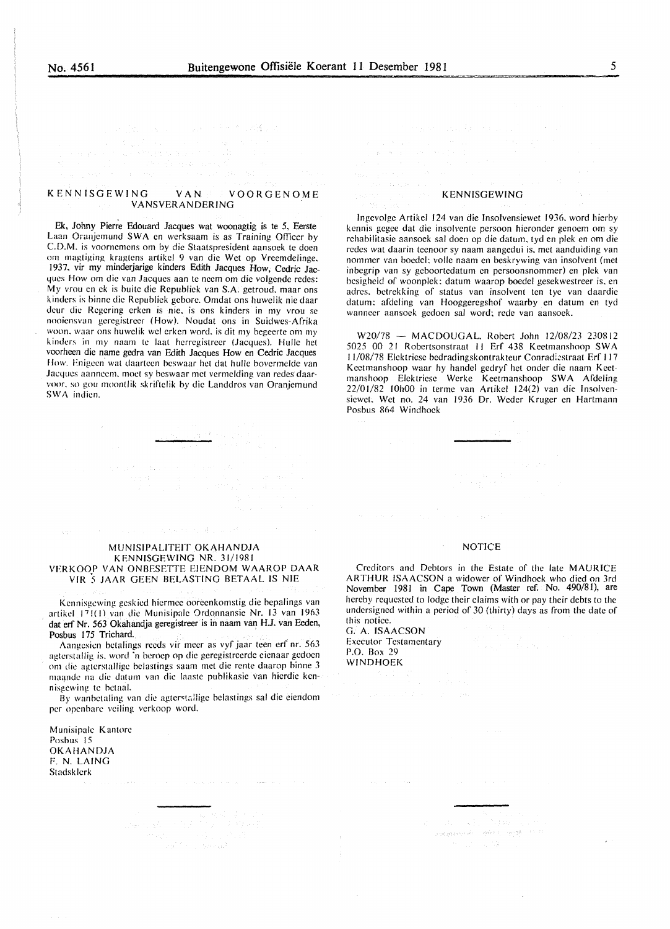#### KENNISGEWING VAN VOORGENOME VANSVERANDERING

Ek, Johny Pierre Edouard Jacques wat woonagtig is te *5,* Eerste Laan Oranjemund SWA en werksaam is as Training Officer by C.D.M. is voornemens om by die Staatspresident aansoek te doen om magtiging kragtcns artikel 9 van die Wet op Vreemdelinge, 1937, vir my minderjarige kinders Edith Jacques How, Cedric Jacques How om die van Jacques aan te neem om die volgende redes: My vrou en ek is buite die Republick van S.A. getroud. maar ons kinders is binnc die Republick gebore. Omdat ons huwelik nie daar deur die Rcgcring crken is nic. is ons kinders in my vrou se nooicnsvan gcregistrcer (How). Noudat ons in Suidwes-Afrika woon. waar ons huwelik wel erken word, is dit my begeerte om my kinders in my naam te laat hcrrcgistreer (Jacques). Hullc het voorheen die name gedra van Edith Jacques How en Cedric Jacques How. Enigeen' wat daarteen beswaar het dat hulle bovermelde van Jacques aannccm. moet sy bcswaar met vcrmclding van redes daarvoor, so gou moontlik skriftelik by die Landdros van Oranjemund SWA indicn.

#### KENNISGEWING

lngcvolge Artikcl 124 van die lnsolvensicwet 1936. word hierby kennis gegee dat die insolvente persoon hieronder genoem om sy rchabilitasic aansoek sal doen op die datum, tyd en plek en om die redes wat daarin teenoor sy naam aangedui is, met aanduiding van nommcr van boedel: vollc naam en beskrywing van insolvent (met inbcgrip van sy gcboortcdatum en pcrsoonsnommer) en pick van besighcid of woonplek: datum waarop boedel gesckwestreer is, en adres. bctrekking of status van insolvent ten tye van daardie datum: afdeling van Hooggcregshof waarby en datum en tyd wanncer aansock gcdocn sal word: rede van aansoek.

W20/78 - MACDOUGAL, Robert John 12/08/23 230812 5025 00 21 Robcrtsonstraat II Erf 438 Kcetmanshoop SW A 11/08/78 Elektriese bedradingskontrakteur Conradiestraat Erf 117 Kcctmanshoop waar hy handel gedryf hct onder die naam Keetmanshoop Elektriese Werke Keetmanshoop SWA Afdeling 22/01/82 IOhOO in terme van Artikel 124(2) van die lnsolvensiewet. Wet no. 24 van 1936 Dr. Weder Kruger en Hartmann Posbus 864 Windhoek

#### MUNISIPALITEIT OKAHANDJA KENNISGEWING NR. 31/1981 VERKOOP VAN ONBESETTE EIENDOM WAAROP DAAR VIR 5 JAAR GEEN BELASTING BETAAL IS NIE

Kcnnisgewing gcskicd hicrmcc oorccnkomstig die bepalings van artikel 17 ! (1) van die Munisipale Ordonnansie Nr. 13 van 1963 dat erf Nr. 563 Okahandja geregistreer is in naarn van HJ. van Eeden, Posbus 175 Trichard.

Aangesien betalings reeds vir meer as vyf jaar teen erf nr. 563 agterstallig is, word 'n beroep op die geregistreerde eienaar gedoen om die agterstallige belastings saam met die rente daarop binne 3 maande na die datum van die laaste publikasie van hierdie kennisgewing te betaal.

By wanbctaling van die agterstallige belastings sal die eiendom per opcnbarc veiling vcrkoop word.

Munisipalc Kantorc Posbus 15 OKAHANDJA F. N. LAING Stadsklcrk

#### NOTICE

Creditors and Debtors in the Estate of the late MAURICE ARTHUR ISAACSON a widower of Windhoek who died on 3rd November 1981 in Cape Town (Master ref. No. 490/81), are hereby requested to lodge their claims with or pay their debts to the undersigned within a period of *30* (thirty) days as from the date of this notice.

G. A. ISAACSON Executor Testamentary P.O. Box 29 WINDHOEK